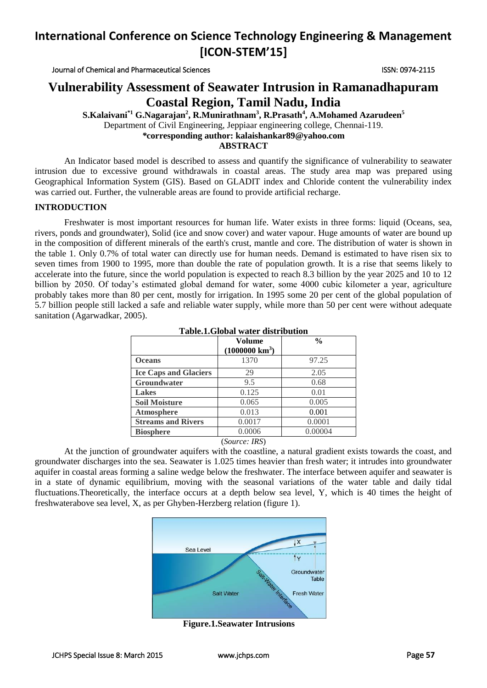Journal of Chemical and Pharmaceutical Sciences ISSN: 0974-2115

## **Vulnerability Assessment of Seawater Intrusion in Ramanadhapuram Coastal Region, Tamil Nadu, India**

**S.Kalaivani\*1 G.Nagarajan<sup>2</sup> , R.Munirathnam<sup>3</sup> , R.Prasath<sup>4</sup> , A.Mohamed Azarudeen<sup>5</sup>** Department of Civil Engineering, Jeppiaar engineering college, Chennai-119. *\****corresponding author: kalaishankar89@yahoo.com ABSTRACT**

An Indicator based model is described to assess and quantify the significance of vulnerability to seawater intrusion due to excessive ground withdrawals in coastal areas. The study area map was prepared using Geographical Information System (GIS). Based on GLADIT index and Chloride content the vulnerability index was carried out. Further, the vulnerable areas are found to provide artificial recharge.

#### **INTRODUCTION**

Freshwater is most important resources for human life. Water exists in three forms: liquid (Oceans, sea, rivers, ponds and groundwater), Solid (ice and snow cover) and water vapour. Huge amounts of water are bound up in the composition of different minerals of the earth's crust, mantle and core. The distribution of water is shown in the table 1. Only 0.7% of total water can directly use for human needs. Demand is estimated to have risen six to seven times from 1900 to 1995, more than double the rate of population growth. It is a rise that seems likely to accelerate into the future, since the world population is expected to reach 8.3 billion by the year 2025 and 10 to 12 billion by 2050. Of today's estimated global demand for water, some 4000 cubic kilometer a year, agriculture probably takes more than 80 per cent, mostly for irrigation. In 1995 some 20 per cent of the global population of 5.7 billion people still lacked a safe and reliable water supply, while more than 50 per cent were without adequate sanitation (Agarwadkar, 2005).

|                              | Volume<br>$(1000000 \text{ km}^3)$ | $\frac{0}{0}$ |  |  |
|------------------------------|------------------------------------|---------------|--|--|
| <b>Oceans</b>                | 1370                               | 97.25         |  |  |
| <b>Ice Caps and Glaciers</b> | 29                                 | 2.05          |  |  |
| Groundwater                  | 9.5                                | 0.68          |  |  |
| <b>Lakes</b>                 | 0.125                              | 0.01          |  |  |
| <b>Soil Moisture</b>         | 0.065                              | 0.005         |  |  |
| Atmosphere                   | 0.013                              | 0.001         |  |  |
| <b>Streams and Rivers</b>    | 0.0017                             | 0.0001        |  |  |
| <b>Biosphere</b>             | 0.0006                             | 0.00004       |  |  |
|                              | (Source: IRS)                      |               |  |  |

#### **Table.1.Global water distribution**

At the junction of groundwater aquifers with the coastline, a natural gradient exists towards the coast, and groundwater discharges into the sea. Seawater is 1.025 times heavier than fresh water; it intrudes into groundwater aquifer in coastal areas forming a saline wedge below the freshwater. The interface between aquifer and seawater is in a state of dynamic equilibrium, moving with the seasonal variations of the water table and daily tidal fluctuations.Theoretically, the interface occurs at a depth below sea level, Y, which is 40 times the height of freshwaterabove sea level, X, as per Ghyben-Herzberg relation (figure 1).



**Figure.1.Seawater Intrusions**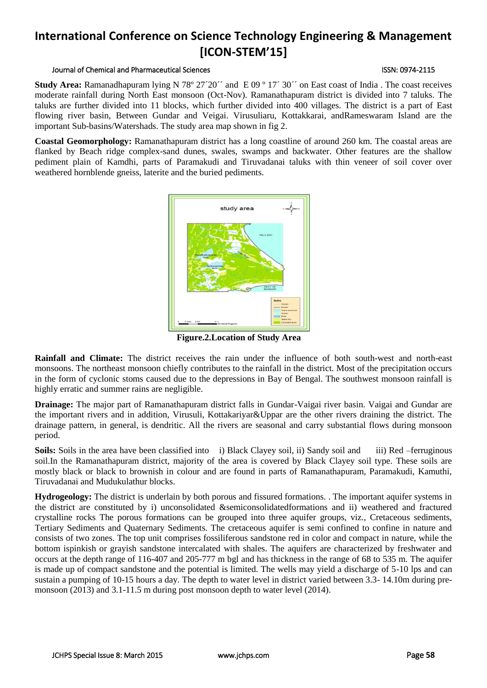#### Journal of Chemical and Pharmaceutical Sciences ISSN: 0974-2115

**Study Area:** Ramanadhapuram lying N 78° 27´20´´ and E 09 ° 17´ 30´´ on East coast of India . The coast receives moderate rainfall during North East monsoon (Oct-Nov). Ramanathapuram district is divided into 7 taluks. The taluks are further divided into 11 blocks, which further divided into 400 villages. The district is a part of East flowing river basin, Between Gundar and Veigai. Virusuliaru, Kottakkarai, andRameswaram Island are the important Sub-basins/Watershads. The study area map shown in fig 2.

**Coastal Geomorphology:** Ramanathapuram district has a long coastline of around 260 km. The coastal areas are flanked by Beach ridge complex-sand dunes, swales, swamps and backwater. Other features are the shallow pediment plain of Kamdhi, parts of Paramakudi and Tiruvadanai taluks with thin veneer of soil cover over weathered hornblende gneiss, laterite and the buried pediments.



**Figure.2.Location of Study Area**

**Rainfall and Climate:** The district receives the rain under the influence of both south-west and north-east monsoons. The northeast monsoon chiefly contributes to the rainfall in the district. Most of the precipitation occurs in the form of cyclonic stoms caused due to the depressions in Bay of Bengal. The southwest monsoon rainfall is highly erratic and summer rains are negligible.

**Drainage:** The major part of Ramanathapuram district falls in Gundar-Vaigai river basin. Vaigai and Gundar are the important rivers and in addition, Virusuli, Kottakariyar&Uppar are the other rivers draining the district. The drainage pattern, in general, is dendritic. All the rivers are seasonal and carry substantial flows during monsoon period.

**Soils:** Soils in the area have been classified into i) Black Clayey soil, ii) Sandy soil and iii) Red –ferruginous soil.In the Ramanathapuram district, majority of the area is covered by Black Clayey soil type. These soils are mostly black or black to brownish in colour and are found in parts of Ramanathapuram, Paramakudi, Kamuthi, Tiruvadanai and Mudukulathur blocks.

**Hydrogeology:** The district is underlain by both porous and fissured formations. . The important aquifer systems in the district are constituted by i) unconsolidated &semiconsolidatedformations and ii) weathered and fractured crystalline rocks The porous formations can be grouped into three aquifer groups, viz., Cretaceous sediments, Tertiary Sediments and Quaternary Sediments. The cretaceous aquifer is semi confined to confine in nature and consists of two zones. The top unit comprises fossiliferous sandstone red in color and compact in nature, while the bottom ispinkish or grayish sandstone intercalated with shales. The aquifers are characterized by freshwater and occurs at the depth range of 116-407 and 205-777 m bgl and has thickness in the range of 68 to 535 m. The aquifer is made up of compact sandstone and the potential is limited. The wells may yield a discharge of 5-10 lps and can sustain a pumping of 10-15 hours a day. The depth to water level in district varied between 3.3- 14.10m during premonsoon (2013) and 3.1-11.5 m during post monsoon depth to water level (2014).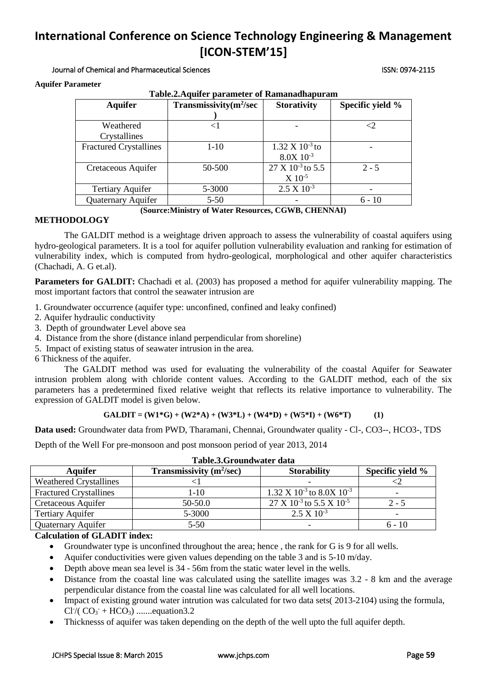Journal of Chemical and Pharmaceutical Sciences ISSN: 0974-2115

**Aquifer Parameter**

| Table.2. Aquifer parameter of Ramanadhapuram |                                   |                              |                  |  |
|----------------------------------------------|-----------------------------------|------------------------------|------------------|--|
| <b>Aquifer</b>                               | Transmissivity $(m^2/\text{sec})$ | <b>Storativity</b>           | Specific yield % |  |
|                                              |                                   |                              |                  |  |
| Weathered                                    | $\leq$ 1                          |                              | ${<}2$           |  |
| Crystallines                                 |                                   |                              |                  |  |
| <b>Fractured Crystallines</b>                | $1 - 10$                          | $1.32 \times 10^{-3}$ to     |                  |  |
|                                              |                                   | $8.0X$ $10^{-3}$             |                  |  |
| Cretaceous Aquifer                           | 50-500                            | 27 X 10 <sup>-3</sup> to 5.5 | $2 - 5$          |  |
|                                              |                                   | $X 10^{-5}$                  |                  |  |
| <b>Tertiary Aquifer</b>                      | 5-3000                            | $2.5 X 10^{-3}$              |                  |  |
| Quaternary Aquifer                           | $5 - 50$                          |                              | $6 - 10$         |  |

**(Source:Ministry of Water Resources, CGWB, CHENNAI)**

### **METHODOLOGY**

The GALDIT method is a weightage driven approach to assess the vulnerability of coastal aquifers using hydro-geological parameters. It is a tool for aquifer pollution vulnerability evaluation and ranking for estimation of vulnerability index, which is computed from hydro-geological, morphological and other aquifer characteristics (Chachadi, A. G et.al).

**Parameters for GALDIT:** Chachadi et al. (2003) has proposed a method for aquifer vulnerability mapping. The most important factors that control the seawater intrusion are

- 1. Groundwater occurrence (aquifer type: unconfined, confined and leaky confined)
- 2. Aquifer hydraulic conductivity
- 3. Depth of groundwater Level above sea
- 4. Distance from the shore (distance inland perpendicular from shoreline)
- 5. Impact of existing status of seawater intrusion in the area.

6 Thickness of the aquifer.

The GALDIT method was used for evaluating the vulnerability of the coastal Aquifer for Seawater intrusion problem along with chloride content values. According to the GALDIT method, each of the six parameters has a predetermined fixed relative weight that reflects its relative importance to vulnerability. The expression of GALDIT model is given below.

#### $GALDIT = (W1*G) + (W2*A) + (W3*L) + (W4*D) + (W5*D) + (W6*T)$  (1)

**Data used:** Groundwater data from PWD, Tharamani, Chennai, Groundwater quality - Cl-, CO3--, HCO3-, TDS

Depth of the Well For pre-monsoon and post monsoon period of year 2013, 2014

| Tabic.o.Groundwaler dala      |                            |                                                      |                  |  |
|-------------------------------|----------------------------|------------------------------------------------------|------------------|--|
| <b>Aquifer</b>                | Transmissivity $(m^2/sec)$ | <b>Storability</b>                                   | Specific yield % |  |
| <b>Weathered Crystallines</b> |                            |                                                      |                  |  |
| <b>Fractured Crystallines</b> | $1 - 10$                   | $1.32 \text{ X } 10^{-3}$ to $8.0 \text{X } 10^{-3}$ |                  |  |
| Cretaceous Aquifer            | 50-50.0                    | $27 \times 10^{-3}$ to 5.5 X 10 <sup>-5</sup>        | $2 - 5$          |  |
| <b>Tertiary Aquifer</b>       | 5-3000                     | $2.5 \times 10^{-3}$                                 |                  |  |
| <b>Quaternary Aquifer</b>     | $5-50$                     |                                                      | $6 - 10$         |  |

### **Calculation of GLADIT index:**

- Groundwater type is unconfined throughout the area; hence , the rank for G is 9 for all wells.
- Aquifer conductivities were given values depending on the table 3 and is 5-10 m/day.
- Depth above mean sea level is 34 56m from the static water level in the wells.
- Distance from the coastal line was calculated using the satellite images was 3.2 8 km and the average perpendicular distance from the coastal line was calculated for all well locations.
- Impact of existing ground water intrution was calculated for two data sets( 2013-2104) using the formula,  $Cl<sup>2</sup> (CO<sub>3</sub><sup>-</sup> + HCO<sub>3</sub>)$  ........equation3.2
- Thicknesss of aquifer was taken depending on the depth of the well upto the full aquifer depth.